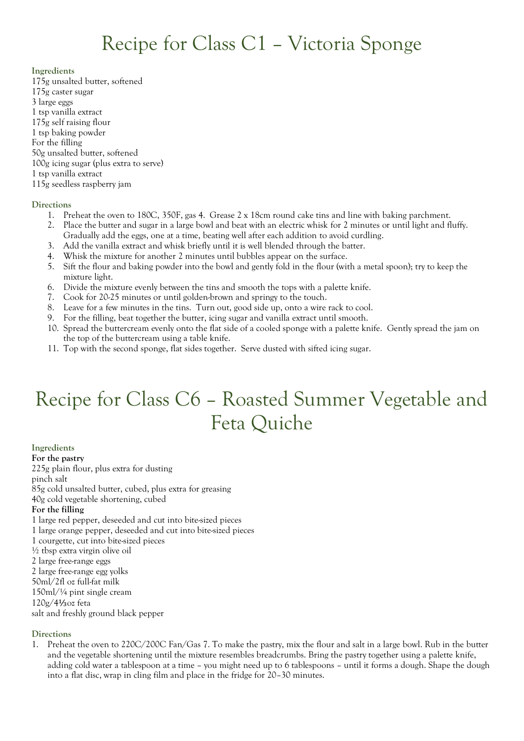#### **Ingredients**

- 175g unsalted butter, softened 175g caster sugar 3 large eggs 1 tsp vanilla extract
- 175g self raising flour
- 1 tsp baking powder
- For the filling
- 50g unsalted butter, softened
- 100g icing sugar (plus extra to serve)
- 1 tsp vanilla extract
- 115g seedless raspberry jam

### **Directions**

- 1. Preheat the oven to 180C, 350F, gas 4. Grease 2 x 18cm round cake tins and line with baking parchment.
- 2. Place the butter and sugar in a large bowl and beat with an electric whisk for 2 minutes or until light and fluffy. Gradually add the eggs, one at a time, beating well after each addition to avoid curdling.
- 3. Add the vanilla extract and whisk briefly until it is well blended through the batter.
- 4. Whisk the mixture for another 2 minutes until bubbles appear on the surface.
- 5. Sift the flour and baking powder into the bowl and gently fold in the flour (with a metal spoon); try to keep the mixture light.
- 6. Divide the mixture evenly between the tins and smooth the tops with a palette knife.
- 7. Cook for 20-25 minutes or until golden-brown and springy to the touch.
- 8. Leave for a few minutes in the tins. Turn out, good side up, onto a wire rack to cool.
- 9. For the filling, beat together the butter, icing sugar and vanilla extract until smooth.
- 10. Spread the buttercream evenly onto the flat side of a cooled sponge with a palette knife. Gently spread the jam on the top of the buttercream using a table knife.
- 11. Top with the second sponge, flat sides together. Serve dusted with sifted icing sugar.

# Recipe for Class C6 – Roasted Summer Vegetable and Feta Quiche

**Ingredients For the pastry** 225g [plain flour,](https://www.bbc.co.uk/food/plain_flour) plus extra for dusting pinch [salt](https://www.bbc.co.uk/food/salt) 85g cold unsalted [butter,](https://www.bbc.co.uk/food/butter) cubed, plus extra for greasing 40g cold [vegetable shortening,](https://www.bbc.co.uk/food/vegetable_shortening) cubed **For the filling** 1 large red [pepper,](https://www.bbc.co.uk/food/pepper) deseeded and cut into bite-sized pieces 1 large [orange](https://www.bbc.co.uk/food/orange) pepper, deseeded and cut into bite-sized pieces 1 [courgette,](https://www.bbc.co.uk/food/courgette) cut into bite-sized pieces ½ tbsp extra virgin [olive oil](https://www.bbc.co.uk/food/olive_oil) 2 large free-range [eggs](https://www.bbc.co.uk/food/egg) 2 large free-range [egg yolks](https://www.bbc.co.uk/food/egg_yolk) 50ml/2fl oz full-fat [milk](https://www.bbc.co.uk/food/milk) 150ml/¼ pint [single cream](https://www.bbc.co.uk/food/single_cream)

120g/4⅓oz [feta](https://www.bbc.co.uk/food/feta_cheese)

salt and freshly ground [black pepper](https://www.bbc.co.uk/food/black_pepper)

### **Directions**

1. Preheat the oven to 220C/200C Fan/Gas 7. To make the pastry, mix the flour and salt in a large bowl. Rub in the butter and the vegetable shortening until the mixture resembles breadcrumbs. Bring the pastry together using a palette knife, adding cold water a tablespoon at a time – you might need up to 6 tablespoons – until it forms a dough. Shape the dough into a flat disc, wrap in cling film and place in the fridge for 20–30 minutes.